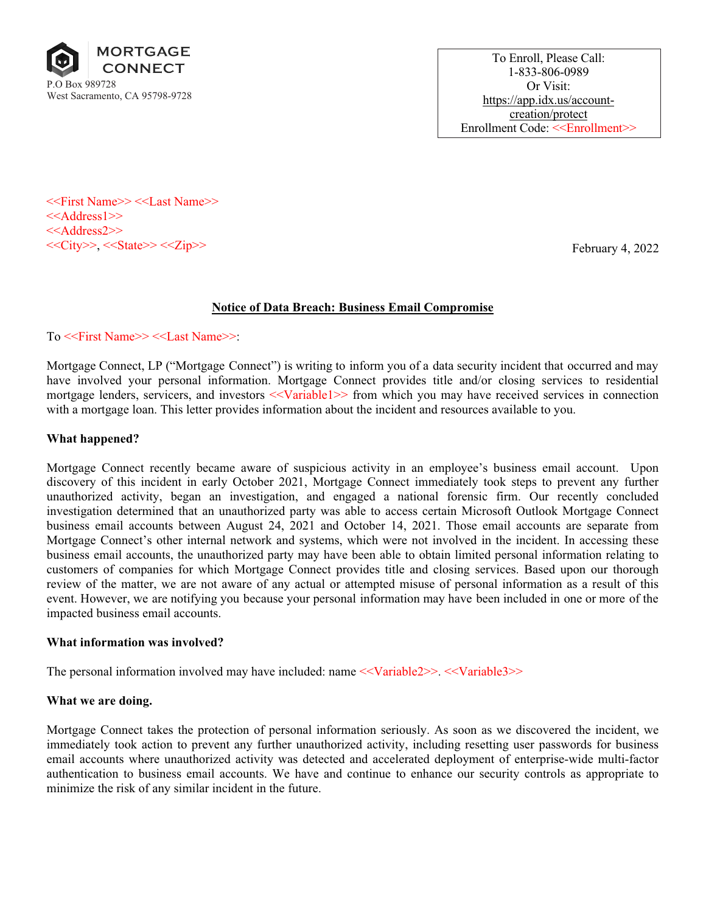

To Enroll, Please Call: 1-833-806-0989 Or Visit: https://app.idx.us/accountcreation/protect Enrollment Code: <<Enrollment>>

<<First Name>> <<Last Name>> <<Address1>> <<Address2>>  $<<$ City>>,  $<<$ State>> $<<$ Zip>>

February 4, 2022

# Notice of Data Breach: Business Email Compromise

To <<First Name>> <<Last Name>>:

Mortgage Connect, LP ("Mortgage Connect") is writing to inform you of a data security incident that occurred and may have involved your personal information. Mortgage Connect provides title and/or closing services to residential mortgage lenders, servicers, and investors  $\ll$ Variable1>> from which you may have received services in connection with a mortgage loan. This letter provides information about the incident and resources available to you.

## What happened?

Mortgage Connect recently became aware of suspicious activity in an employee's business email account. Upon discovery of this incident in early October 2021, Mortgage Connect immediately took steps to prevent any further unauthorized activity, began an investigation, and engaged a national forensic firm. Our recently concluded investigation determined that an unauthorized party was able to access certain Microsoft Outlook Mortgage Connect business email accounts between August 24, 2021 and October 14, 2021. Those email accounts are separate from Mortgage Connect's other internal network and systems, which were not involved in the incident. In accessing these business email accounts, the unauthorized party may have been able to obtain limited personal information relating to customers of companies for which Mortgage Connect provides title and closing services. Based upon our thorough review of the matter, we are not aware of any actual or attempted misuse of personal information as a result of this event. However, we are notifying you because your personal information may have been included in one or more of the impacted business email accounts.

## What information was involved?

The personal information involved may have included: name <<Variable2>>. <<Variable3>>

## What we are doing.

Mortgage Connect takes the protection of personal information seriously. As soon as we discovered the incident, we immediately took action to prevent any further unauthorized activity, including resetting user passwords for business email accounts where unauthorized activity was detected and accelerated deployment of enterprise-wide multi-factor authentication to business email accounts. We have and continue to enhance our security controls as appropriate to minimize the risk of any similar incident in the future.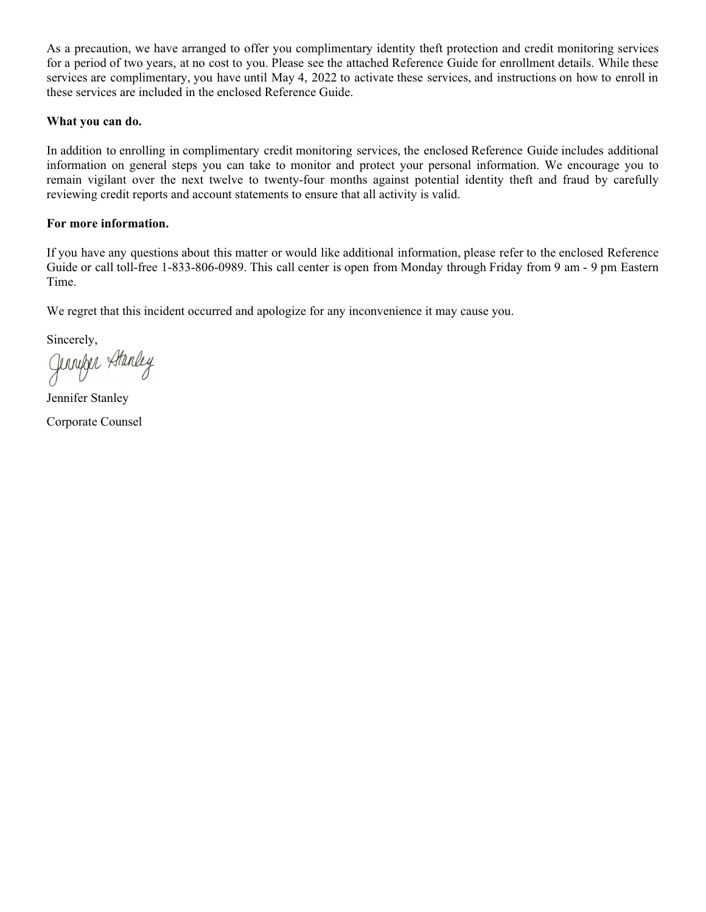As a precaution, we have arranged to offer you complimentary identity theft protection and credit monitoring services for a period of two years, at no cost to you. Please see the attached Reference Guide for enrollment details. While these services are complimentary, you have until May 4, 2022 to activate these services, and instructions on how to enroll in these services are included in the enclosed Reference Guide.

## What you can do.

In addition to enrolling in complimentary credit monitoring services, the enclosed Reference Guide includes additional information on general steps you can take to monitor and protect your personal information. We encourage you to remain vigilant over the next twelve to twenty-four months against potential identity theft and fraud by carefully reviewing credit reports and account statements to ensure that all activity is valid.

## For more information.

If you have any questions about this matter or would like additional information, please refer to the enclosed Reference Guide or call toll-free 1-833-806-0989. This call center is open from Monday through Friday from 9 am - 9 pm Eastern Time.

We regret that this incident occurred and apologize for any inconvenience it may cause you.

Sincerely,

Jenniker Atanley

Jennifer Stanley Corporate Counsel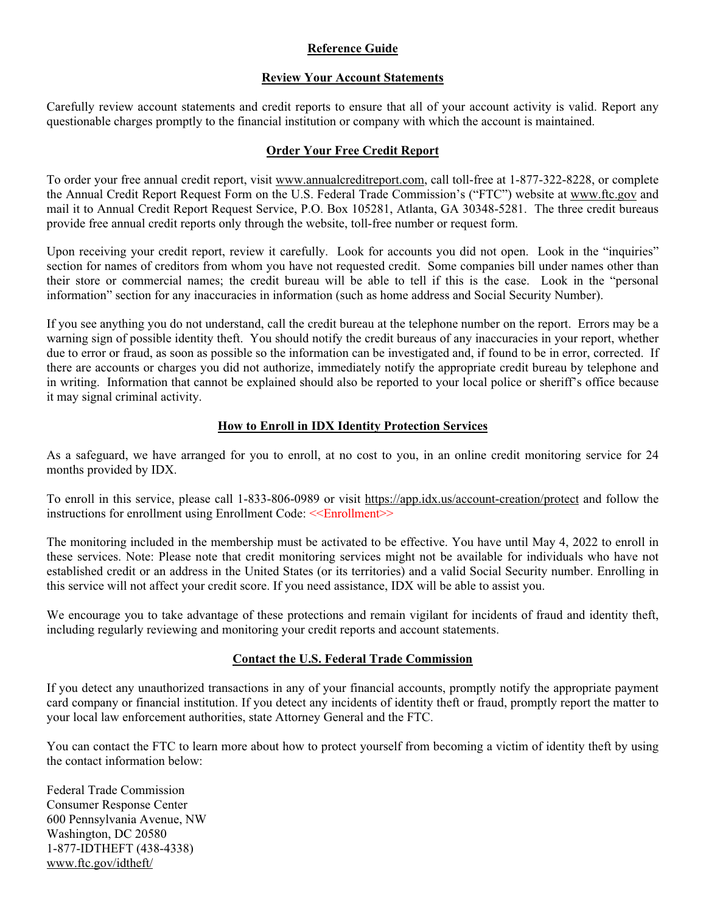## Reference Guide

## Review Your Account Statements

Carefully review account statements and credit reports to ensure that all of your account activity is valid. Report any questionable charges promptly to the financial institution or company with which the account is maintained.

#### Order Your Free Credit Report

To order your free annual credit report, visit www.annualcreditreport.com, call toll-free at 1-877-322-8228, or complete the Annual Credit Report Request Form on the U.S. Federal Trade Commission's ("FTC") website at www.ftc.gov and mail it to Annual Credit Report Request Service, P.O. Box 105281, Atlanta, GA 30348-5281. The three credit bureaus provide free annual credit reports only through the website, toll-free number or request form.

Upon receiving your credit report, review it carefully. Look for accounts you did not open. Look in the "inquiries" section for names of creditors from whom you have not requested credit. Some companies bill under names other than their store or commercial names; the credit bureau will be able to tell if this is the case. Look in the "personal information" section for any inaccuracies in information (such as home address and Social Security Number).

If you see anything you do not understand, call the credit bureau at the telephone number on the report. Errors may be a warning sign of possible identity theft. You should notify the credit bureaus of any inaccuracies in your report, whether due to error or fraud, as soon as possible so the information can be investigated and, if found to be in error, corrected. If there are accounts or charges you did not authorize, immediately notify the appropriate credit bureau by telephone and in writing. Information that cannot be explained should also be reported to your local police or sheriff's office because it may signal criminal activity.

## How to Enroll in IDX Identity Protection Services

As a safeguard, we have arranged for you to enroll, at no cost to you, in an online credit monitoring service for 24 months provided by IDX.

To enroll in this service, please call 1-833-806-0989 or visit https://app.idx.us/account-creation/protect and follow the instructions for enrollment using Enrollment Code: <<Enrollment>>

The monitoring included in the membership must be activated to be effective. You have until May 4, 2022 to enroll in these services. Note: Please note that credit monitoring services might not be available for individuals who have not established credit or an address in the United States (or its territories) and a valid Social Security number. Enrolling in this service will not affect your credit score. If you need assistance, IDX will be able to assist you.

We encourage you to take advantage of these protections and remain vigilant for incidents of fraud and identity theft, including regularly reviewing and monitoring your credit reports and account statements.

## Contact the U.S. Federal Trade Commission

If you detect any unauthorized transactions in any of your financial accounts, promptly notify the appropriate payment card company or financial institution. If you detect any incidents of identity theft or fraud, promptly report the matter to your local law enforcement authorities, state Attorney General and the FTC.

You can contact the FTC to learn more about how to protect yourself from becoming a victim of identity theft by using the contact information below:

Federal Trade Commission Consumer Response Center 600 Pennsylvania Avenue, NW Washington, DC 20580 1-877-IDTHEFT (438-4338) www.ftc.gov/idtheft/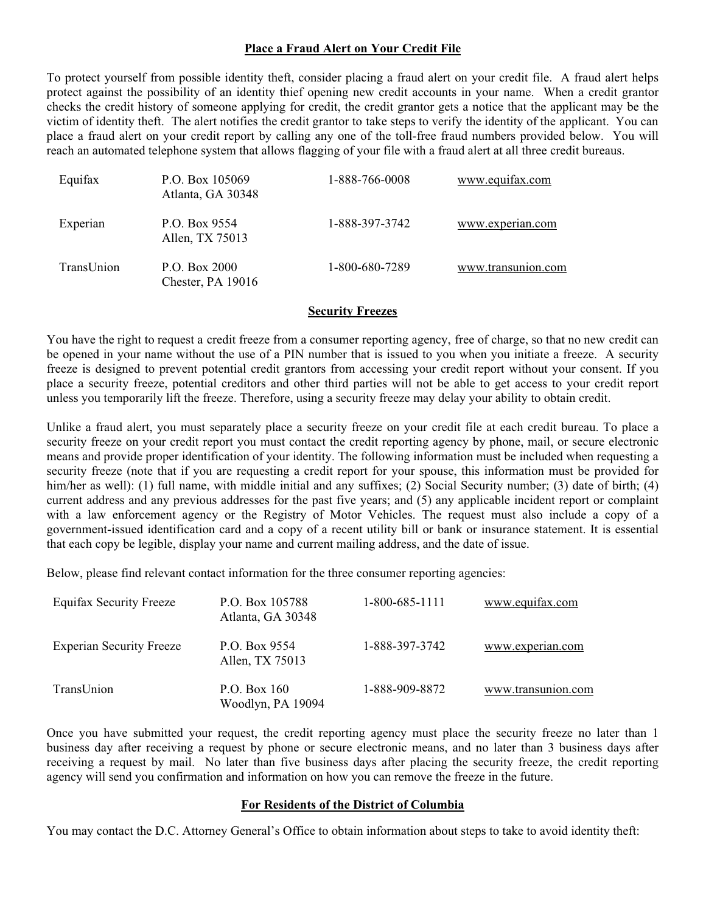## Place a Fraud Alert on Your Credit File

To protect yourself from possible identity theft, consider placing a fraud alert on your credit file. A fraud alert helps protect against the possibility of an identity thief opening new credit accounts in your name. When a credit grantor checks the credit history of someone applying for credit, the credit grantor gets a notice that the applicant may be the victim of identity theft. The alert notifies the credit grantor to take steps to verify the identity of the applicant. You can place a fraud alert on your credit report by calling any one of the toll-free fraud numbers provided below. You will reach an automated telephone system that allows flagging of your file with a fraud alert at all three credit bureaus.

| Equifax    | P.O. Box 105069<br>Atlanta, GA 30348 | 1-888-766-0008 | www.equifax.com    |
|------------|--------------------------------------|----------------|--------------------|
| Experian   | P.O. Box 9554<br>Allen, TX 75013     | 1-888-397-3742 | www.experian.com   |
| TransUnion | P.O. Box 2000<br>Chester, PA 19016   | 1-800-680-7289 | www.transunion.com |

#### Security Freezes

You have the right to request a credit freeze from a consumer reporting agency, free of charge, so that no new credit can be opened in your name without the use of a PIN number that is issued to you when you initiate a freeze. A security freeze is designed to prevent potential credit grantors from accessing your credit report without your consent. If you place a security freeze, potential creditors and other third parties will not be able to get access to your credit report unless you temporarily lift the freeze. Therefore, using a security freeze may delay your ability to obtain credit.

Unlike a fraud alert, you must separately place a security freeze on your credit file at each credit bureau. To place a security freeze on your credit report you must contact the credit reporting agency by phone, mail, or secure electronic means and provide proper identification of your identity. The following information must be included when requesting a security freeze (note that if you are requesting a credit report for your spouse, this information must be provided for him/her as well): (1) full name, with middle initial and any suffixes; (2) Social Security number; (3) date of birth; (4) current address and any previous addresses for the past five years; and (5) any applicable incident report or complaint with a law enforcement agency or the Registry of Motor Vehicles. The request must also include a copy of a government-issued identification card and a copy of a recent utility bill or bank or insurance statement. It is essential that each copy be legible, display your name and current mailing address, and the date of issue.

Below, please find relevant contact information for the three consumer reporting agencies:

| <b>Equifax Security Freeze</b>  | P.O. Box 105788<br>Atlanta, GA 30348 | 1-800-685-1111 | www.equifax.com    |
|---------------------------------|--------------------------------------|----------------|--------------------|
| <b>Experian Security Freeze</b> | P.O. Box 9554<br>Allen, TX 75013     | 1-888-397-3742 | www.experian.com   |
| TransUnion                      | P.O. Box 160<br>Woodlyn, PA 19094    | 1-888-909-8872 | www.transunion.com |

Once you have submitted your request, the credit reporting agency must place the security freeze no later than 1 business day after receiving a request by phone or secure electronic means, and no later than 3 business days after receiving a request by mail. No later than five business days after placing the security freeze, the credit reporting agency will send you confirmation and information on how you can remove the freeze in the future.

#### For Residents of the District of Columbia

You may contact the D.C. Attorney General's Office to obtain information about steps to take to avoid identity theft: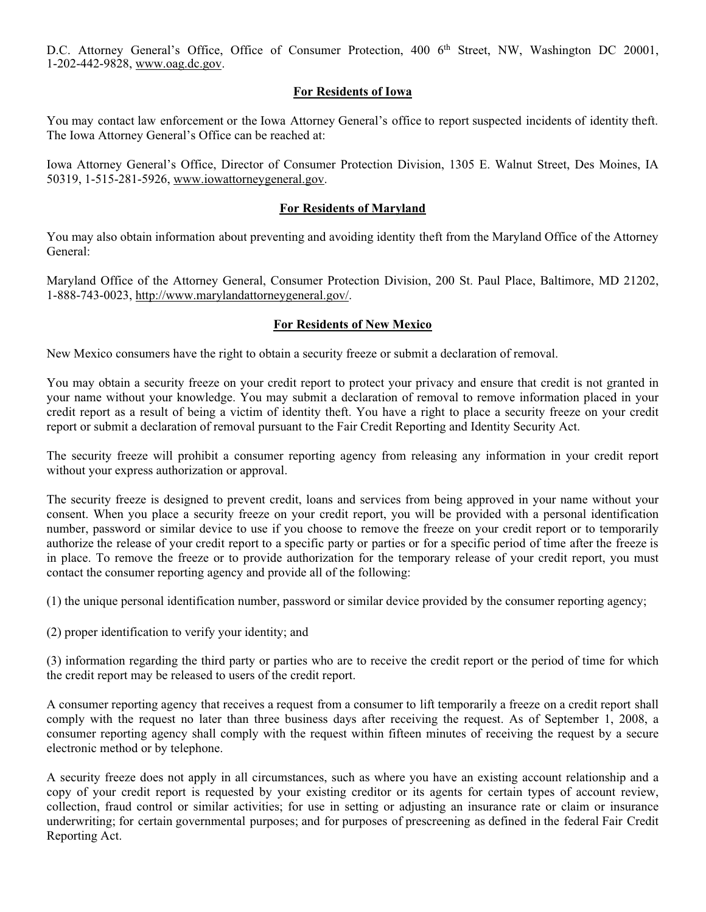D.C. Attorney General's Office, Office of Consumer Protection, 400 6<sup>th</sup> Street, NW, Washington DC 20001, 1-202-442-9828, [www.oag.dc.gov](http://www.oag.dc.gov).

## For Residents of Iowa

You may contact law enforcement or the Iowa Attorney General's office to report suspected incidents of identity theft. The Iowa Attorney General's Office can be reached at:

Iowa Attorney General's Office, Director of Consumer Protection Division, 1305 E. Walnut Street, Des Moines, IA 50319, 1-515-281-5926, [www.iowattorneygeneral.gov](http://www.iowattorneygeneral.gov).

## For Residents of Maryland

You may also obtain information about preventing and avoiding identity theft from the Maryland Office of the Attorney General:

Maryland Office of the Attorney General, Consumer Protection Division, 200 St. Paul Place, Baltimore, MD 21202, 1-888-743-0023, [http://www.marylandattorneygeneral.gov/.](http://www.marylandattorneygeneral.gov/)

## For Residents of New Mexico

New Mexico consumers have the right to obtain a security freeze or submit a declaration of removal.

You may obtain a security freeze on your credit report to protect your privacy and ensure that credit is not granted in your name without your knowledge. You may submit a declaration of removal to remove information placed in your credit report as a result of being a victim of identity theft. You have a right to place a security freeze on your credit report or submit a declaration of removal pursuant to the Fair Credit Reporting and Identity Security Act.

The security freeze will prohibit a consumer reporting agency from releasing any information in your credit report without your express authorization or approval.

The security freeze is designed to prevent credit, loans and services from being approved in your name without your consent. When you place a security freeze on your credit report, you will be provided with a personal identification number, password or similar device to use if you choose to remove the freeze on your credit report or to temporarily authorize the release of your credit report to a specific party or parties or for a specific period of time after the freeze is in place. To remove the freeze or to provide authorization for the temporary release of your credit report, you must contact the consumer reporting agency and provide all of the following:

(1) the unique personal identification number, password or similar device provided by the consumer reporting agency;

(2) proper identification to verify your identity; and

(3) information regarding the third party or parties who are to receive the credit report or the period of time for which the credit report may be released to users of the credit report.

A consumer reporting agency that receives a request from a consumer to lift temporarily a freeze on a credit report shall comply with the request no later than three business days after receiving the request. As of September 1, 2008, a consumer reporting agency shall comply with the request within fifteen minutes of receiving the request by a secure electronic method or by telephone.

A security freeze does not apply in all circumstances, such as where you have an existing account relationship and a copy of your credit report is requested by your existing creditor or its agents for certain types of account review, collection, fraud control or similar activities; for use in setting or adjusting an insurance rate or claim or insurance underwriting; for certain governmental purposes; and for purposes of prescreening as defined in the federal Fair Credit Reporting Act.